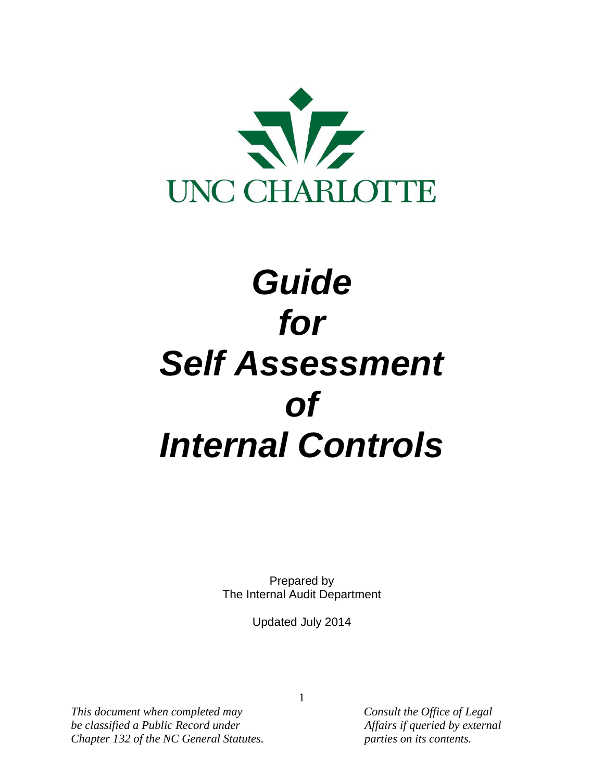

# *Guide for Self Assessment of Internal Controls*

Prepared by The Internal Audit Department

Updated July 2014

*This document when completed may Consult the Office of Legal be classified a Public Record under Affairs if queried by external Chapter 132 of the NC General Statutes. parties on its contents.*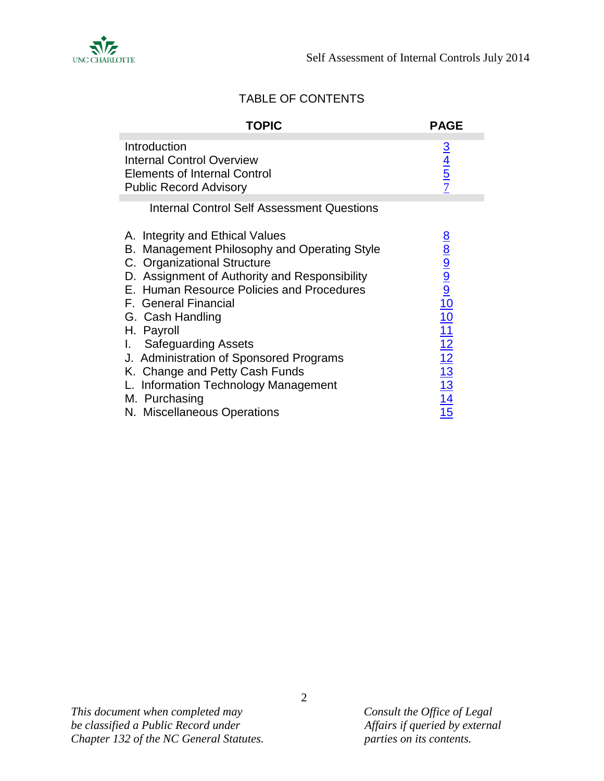

## TABLE OF CONTENTS

| <b>TOPIC</b>                                                                                                                                                                                                                                                                                                                                                                                                              | <b>PAGE</b>                    |
|---------------------------------------------------------------------------------------------------------------------------------------------------------------------------------------------------------------------------------------------------------------------------------------------------------------------------------------------------------------------------------------------------------------------------|--------------------------------|
| Introduction<br><b>Internal Control Overview</b><br><b>Elements of Internal Control</b><br><b>Public Record Advisory</b>                                                                                                                                                                                                                                                                                                  | $\frac{3}{4}$<br>$\frac{4}{5}$ |
| <b>Internal Control Self Assessment Questions</b>                                                                                                                                                                                                                                                                                                                                                                         |                                |
| A. Integrity and Ethical Values<br>B. Management Philosophy and Operating Style<br>C. Organizational Structure<br>D. Assignment of Authority and Responsibility<br>E. Human Resource Policies and Procedures<br>F. General Financial<br>G. Cash Handling<br>H. Payroll<br><b>Safeguarding Assets</b><br>J. Administration of Sponsored Programs<br>K. Change and Petty Cash Funds<br>L. Information Technology Management | 8 8 9 9 9 10 11 12 12 13 14 15 |
| M. Purchasing<br>N. Miscellaneous Operations                                                                                                                                                                                                                                                                                                                                                                              |                                |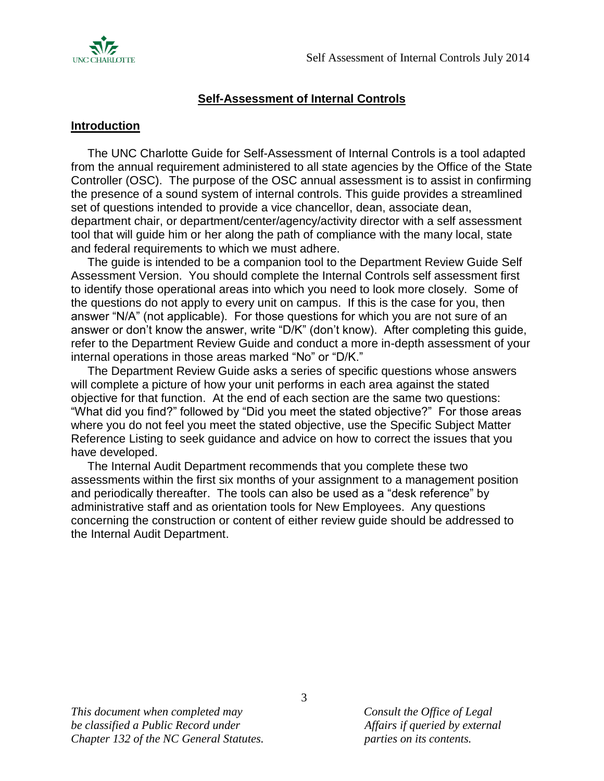

## **Self-Assessment of Internal Controls**

#### <span id="page-2-0"></span>**Introduction**

 The UNC Charlotte Guide for Self-Assessment of Internal Controls is a tool adapted from the annual requirement administered to all state agencies by the Office of the State Controller (OSC). The purpose of the OSC annual assessment is to assist in confirming the presence of a sound system of internal controls. This guide provides a streamlined set of questions intended to provide a vice chancellor, dean, associate dean, department chair, or department/center/agency/activity director with a self assessment tool that will guide him or her along the path of compliance with the many local, state and federal requirements to which we must adhere.

 The guide is intended to be a companion tool to the Department Review Guide Self Assessment Version. You should complete the Internal Controls self assessment first to identify those operational areas into which you need to look more closely. Some of the questions do not apply to every unit on campus. If this is the case for you, then answer "N/A" (not applicable). For those questions for which you are not sure of an answer or don't know the answer, write "D/K" (don't know). After completing this guide, refer to the Department Review Guide and conduct a more in-depth assessment of your internal operations in those areas marked "No" or "D/K."

 The Department Review Guide asks a series of specific questions whose answers will complete a picture of how your unit performs in each area against the stated objective for that function. At the end of each section are the same two questions: "What did you find?" followed by "Did you meet the stated objective?" For those areas where you do not feel you meet the stated objective, use the Specific Subject Matter Reference Listing to seek guidance and advice on how to correct the issues that you have developed.

 The Internal Audit Department recommends that you complete these two assessments within the first six months of your assignment to a management position and periodically thereafter. The tools can also be used as a "desk reference" by administrative staff and as orientation tools for New Employees. Any questions concerning the construction or content of either review guide should be addressed to the Internal Audit Department.

*This document when completed may Consult the Office of Legal be classified a Public Record under Affairs if queried by external Chapter 132 of the NC General Statutes. parties on its contents.*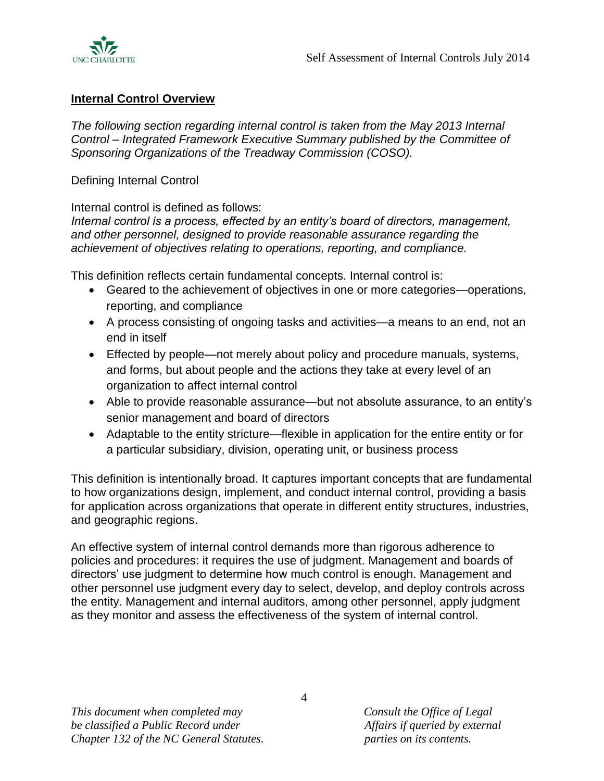

#### <span id="page-3-0"></span>**Internal Control Overview**

*The following section regarding internal control is taken from the May 2013 Internal Control – Integrated Framework Executive Summary published by the Committee of Sponsoring Organizations of the Treadway Commission (COSO).* 

Defining Internal Control

Internal control is defined as follows:

*Internal control is a process, effected by an entity's board of directors, management, and other personnel, designed to provide reasonable assurance regarding the achievement of objectives relating to operations, reporting, and compliance.*

This definition reflects certain fundamental concepts. Internal control is:

- Geared to the achievement of objectives in one or more categories—operations, reporting, and compliance
- A process consisting of ongoing tasks and activities—a means to an end, not an end in itself
- Effected by people—not merely about policy and procedure manuals, systems, and forms, but about people and the actions they take at every level of an organization to affect internal control
- Able to provide reasonable assurance—but not absolute assurance, to an entity's senior management and board of directors
- Adaptable to the entity stricture—flexible in application for the entire entity or for a particular subsidiary, division, operating unit, or business process

This definition is intentionally broad. It captures important concepts that are fundamental to how organizations design, implement, and conduct internal control, providing a basis for application across organizations that operate in different entity structures, industries, and geographic regions.

An effective system of internal control demands more than rigorous adherence to policies and procedures: it requires the use of judgment. Management and boards of directors' use judgment to determine how much control is enough. Management and other personnel use judgment every day to select, develop, and deploy controls across the entity. Management and internal auditors, among other personnel, apply judgment as they monitor and assess the effectiveness of the system of internal control.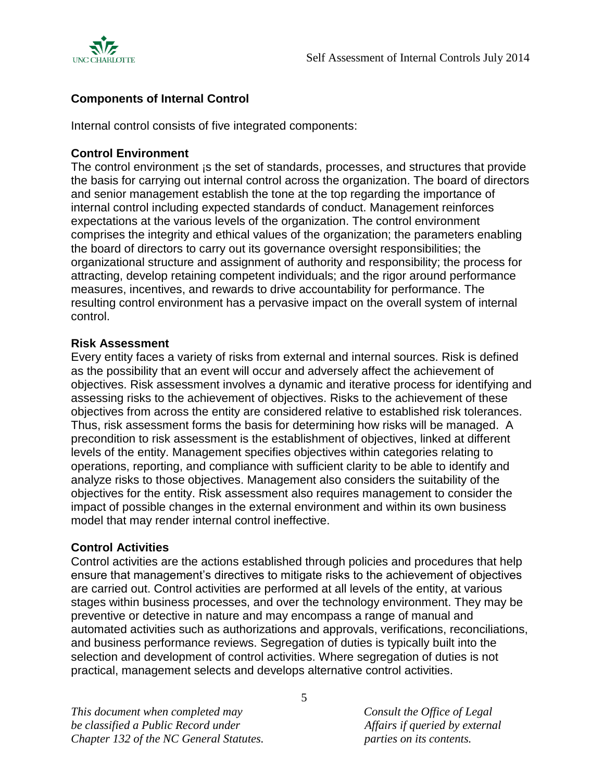

## **Components of Internal Control**

Internal control consists of five integrated components:

#### **Control Environment**

The control environment is the set of standards, processes, and structures that provide the basis for carrying out internal control across the organization. The board of directors and senior management establish the tone at the top regarding the importance of internal control including expected standards of conduct. Management reinforces expectations at the various levels of the organization. The control environment comprises the integrity and ethical values of the organization; the parameters enabling the board of directors to carry out its governance oversight responsibilities; the organizational structure and assignment of authority and responsibility; the process for attracting, develop retaining competent individuals; and the rigor around performance measures, incentives, and rewards to drive accountability for performance. The resulting control environment has a pervasive impact on the overall system of internal control.

#### **Risk Assessment**

Every entity faces a variety of risks from external and internal sources. Risk is defined as the possibility that an event will occur and adversely affect the achievement of objectives. Risk assessment involves a dynamic and iterative process for identifying and assessing risks to the achievement of objectives. Risks to the achievement of these objectives from across the entity are considered relative to established risk tolerances. Thus, risk assessment forms the basis for determining how risks will be managed. A precondition to risk assessment is the establishment of objectives, linked at different levels of the entity. Management specifies objectives within categories relating to operations, reporting, and compliance with sufficient clarity to be able to identify and analyze risks to those objectives. Management also considers the suitability of the objectives for the entity. Risk assessment also requires management to consider the impact of possible changes in the external environment and within its own business model that may render internal control ineffective.

#### **Control Activities**

Control activities are the actions established through policies and procedures that help ensure that management's directives to mitigate risks to the achievement of objectives are carried out. Control activities are performed at all levels of the entity, at various stages within business processes, and over the technology environment. They may be preventive or detective in nature and may encompass a range of manual and automated activities such as authorizations and approvals, verifications, reconciliations, and business performance reviews. Segregation of duties is typically built into the selection and development of control activities. Where segregation of duties is not practical, management selects and develops alternative control activities.

*This document when completed may Consult the Office of Legal be classified a Public Record under Affairs if queried by external Chapter 132 of the NC General Statutes. parties on its contents.*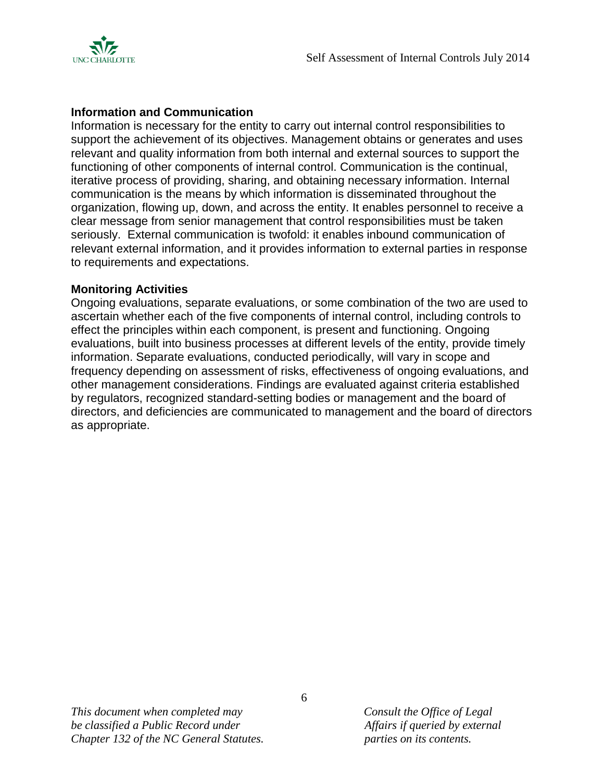

## **Information and Communication**

Information is necessary for the entity to carry out internal control responsibilities to support the achievement of its objectives. Management obtains or generates and uses relevant and quality information from both internal and external sources to support the functioning of other components of internal control. Communication is the continual, iterative process of providing, sharing, and obtaining necessary information. Internal communication is the means by which information is disseminated throughout the organization, flowing up, down, and across the entity. It enables personnel to receive a clear message from senior management that control responsibilities must be taken seriously. External communication is twofold: it enables inbound communication of relevant external information, and it provides information to external parties in response to requirements and expectations.

#### **Monitoring Activities**

Ongoing evaluations, separate evaluations, or some combination of the two are used to ascertain whether each of the five components of internal control, including controls to effect the principles within each component, is present and functioning. Ongoing evaluations, built into business processes at different levels of the entity, provide timely information. Separate evaluations, conducted periodically, will vary in scope and frequency depending on assessment of risks, effectiveness of ongoing evaluations, and other management considerations. Findings are evaluated against criteria established by regulators, recognized standard-setting bodies or management and the board of directors, and deficiencies are communicated to management and the board of directors as appropriate.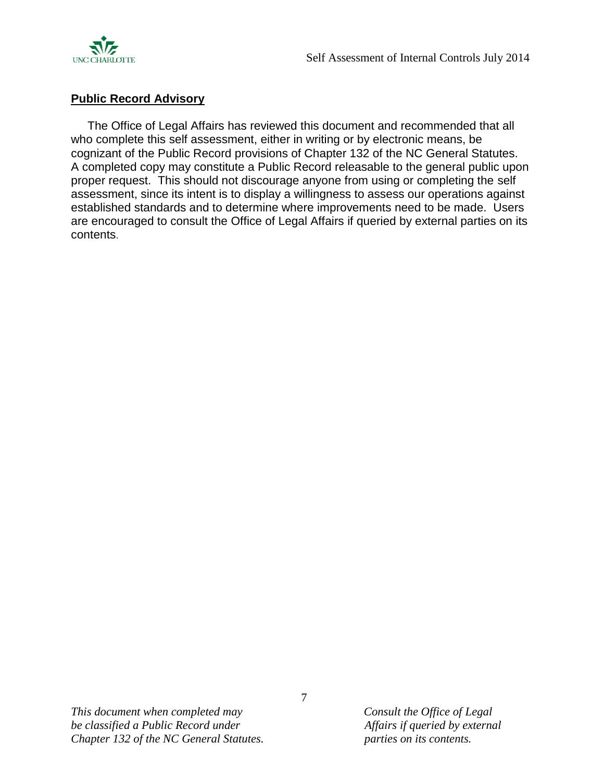

#### <span id="page-6-0"></span>**Public Record Advisory**

 The Office of Legal Affairs has reviewed this document and recommended that all who complete this self assessment, either in writing or by electronic means, be cognizant of the Public Record provisions of Chapter 132 of the NC General Statutes. A completed copy may constitute a Public Record releasable to the general public upon proper request. This should not discourage anyone from using or completing the self assessment, since its intent is to display a willingness to assess our operations against established standards and to determine where improvements need to be made. Users are encouraged to consult the Office of Legal Affairs if queried by external parties on its contents.

*This document when completed may Consult the Office of Legal be classified a Public Record under Affairs if queried by external Chapter 132 of the NC General Statutes. parties on its contents.*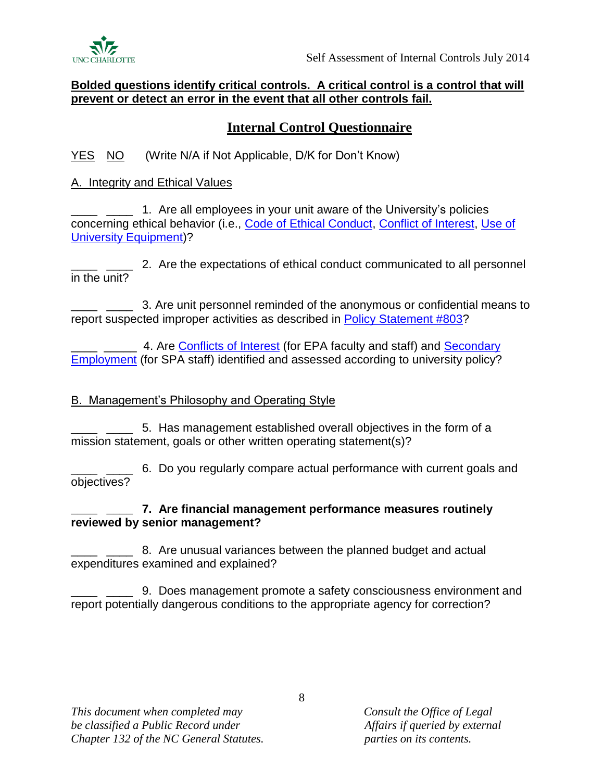

#### **Bolded questions identify critical controls. A critical control is a control that will prevent or detect an error in the event that all other controls fail.**

# **Internal Control Questionnaire**

YES NO (Write N/A if Not Applicable, D/K for Don't Know)

## <span id="page-7-0"></span>A. Integrity and Ethical Values

1. Are all employees in your unit aware of the University's policies concerning ethical behavior (i.e., [Code of Ethical Conduct,](http://legal.uncc.edu/policies/up-804) [Conflict of Interest,](http://legal.uncc.edu/policies/up-102.2) [Use of](http://legal.uncc.edu/policies/up-601.1)  [University Equipment\)](http://legal.uncc.edu/policies/up-601.1)?

2. **2.** Are the expectations of ethical conduct communicated to all personnel in the unit?

\_\_\_\_ \_\_\_\_ 3. Are unit personnel reminded of the anonymous or confidential means to report suspected improper activities as described in [Policy Statement #803?](http://legal.uncc.edu/policies/up-803)

4. Are [Conflicts of Interest](http://legal.uncc.edu/policies/up-102.2) (for EPA faculty and staff) and Secondary [Employment](http://legal.uncc.edu/policies/up-103.3) (for SPA staff) identified and assessed according to university policy?

## <span id="page-7-1"></span>B. Management's Philosophy and Operating Style

\_\_\_\_ \_\_\_\_ 5. Has management established overall objectives in the form of a mission statement, goals or other written operating statement(s)?

5. \_\_\_\_ 6. Do you regularly compare actual performance with current goals and objectives?

## **\_\_\_\_ \_\_\_\_ 7. Are financial management performance measures routinely reviewed by senior management?**

8. Are unusual variances between the planned budget and actual expenditures examined and explained?

\_\_\_\_ \_\_\_\_ 9. Does management promote a safety consciousness environment and report potentially dangerous conditions to the appropriate agency for correction?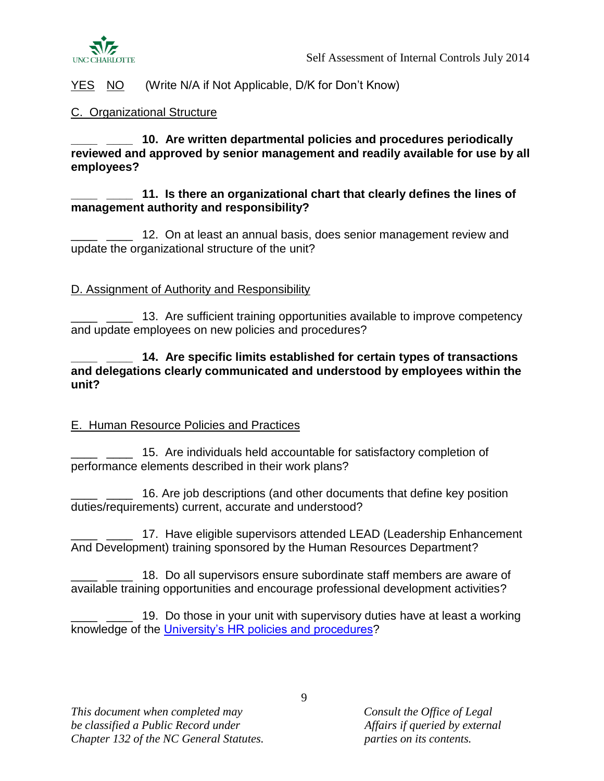

#### <span id="page-8-0"></span>C. Organizational Structure

**\_\_\_\_ \_\_\_\_ 10. Are written departmental policies and procedures periodically reviewed and approved by senior management and readily available for use by all employees?** 

#### **\_\_\_\_ \_\_\_\_ 11. Is there an organizational chart that clearly defines the lines of management authority and responsibility?**

12. On at least an annual basis, does senior management review and update the organizational structure of the unit?

## <span id="page-8-1"></span>D. Assignment of Authority and Responsibility

13. Are sufficient training opportunities available to improve competency and update employees on new policies and procedures?

**\_\_\_\_ \_\_\_\_ 14. Are specific limits established for certain types of transactions and delegations clearly communicated and understood by employees within the unit?**

#### <span id="page-8-2"></span>E. Human Resource Policies and Practices

15. Are individuals held accountable for satisfactory completion of performance elements described in their work plans?

16. Are job descriptions (and other documents that define key position duties/requirements) current, accurate and understood?

17. Have eligible supervisors attended LEAD (Leadership Enhancement And Development) training sponsored by the Human Resources Department?

18. Do all supervisors ensure subordinate staff members are aware of available training opportunities and encourage professional development activities?

\_\_\_\_ \_\_\_\_ 19. Do those in your unit with supervisory duties have at least a working knowledge of the [University's HR policies and procedures?](http://legal.uncc.edu/policies/chapter-100)

*This document when completed may Consult the Office of Legal be classified a Public Record under Affairs if queried by external Chapter 132 of the NC General Statutes. parties on its contents.*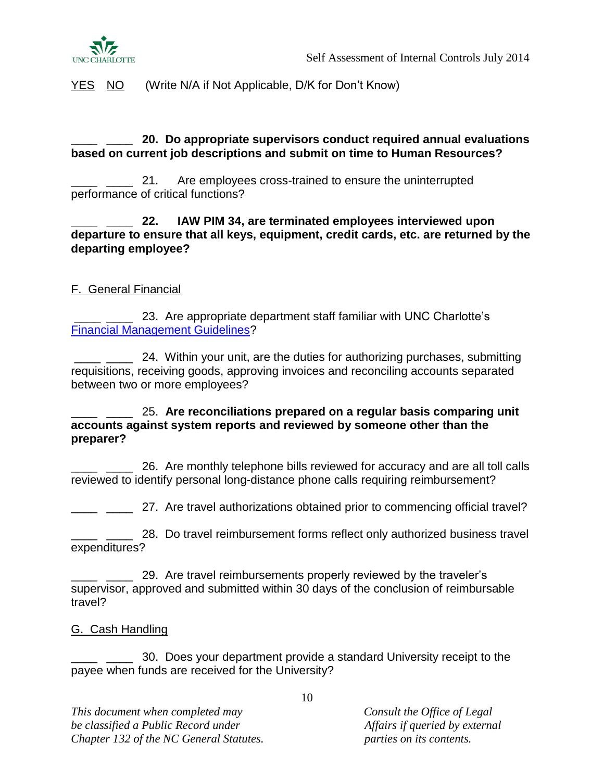

#### **\_\_\_\_ \_\_\_\_ 20. Do appropriate supervisors conduct required annual evaluations based on current job descriptions and submit on time to Human Resources?**

21. Are employees cross-trained to ensure the uninterrupted performance of critical functions?

**\_\_\_\_ \_\_\_\_ 22. IAW PIM 34, are terminated employees interviewed upon departure to ensure that all keys, equipment, credit cards, etc. are returned by the departing employee?**

## <span id="page-9-0"></span>F. General Financial

23. Are appropriate department staff familiar with UNC Charlotte's [Financial Management Guidelines?](http://finance.uncc.edu/sites/finance.uncc.edu/files/media/GeneralAccounting/UNCC_FinancialMgmtGuidelines.docx)

24. Within your unit, are the duties for authorizing purchases, submitting requisitions, receiving goods, approving invoices and reconciling accounts separated between two or more employees?

\_\_\_\_ \_\_\_\_ 25. **Are reconciliations prepared on a regular basis comparing unit accounts against system reports and reviewed by someone other than the preparer?**

26. Are monthly telephone bills reviewed for accuracy and are all toll calls reviewed to identify personal long-distance phone calls requiring reimbursement?

<sup>11</sup> \_\_\_\_ <sup>27</sup>. Are travel authorizations obtained prior to commencing official travel?

\_ \_\_\_\_ 28. Do travel reimbursement forms reflect only authorized business travel expenditures?

29. Are travel reimbursements properly reviewed by the traveler's supervisor, approved and submitted within 30 days of the conclusion of reimbursable travel?

#### <span id="page-9-1"></span>G. Cash Handling

\_\_\_\_ \_\_\_\_ 30. Does your department provide a standard University receipt to the payee when funds are received for the University?

*This document when completed may Consult the Office of Legal be classified a Public Record under Affairs if queried by external Chapter 132 of the NC General Statutes. parties on its contents.*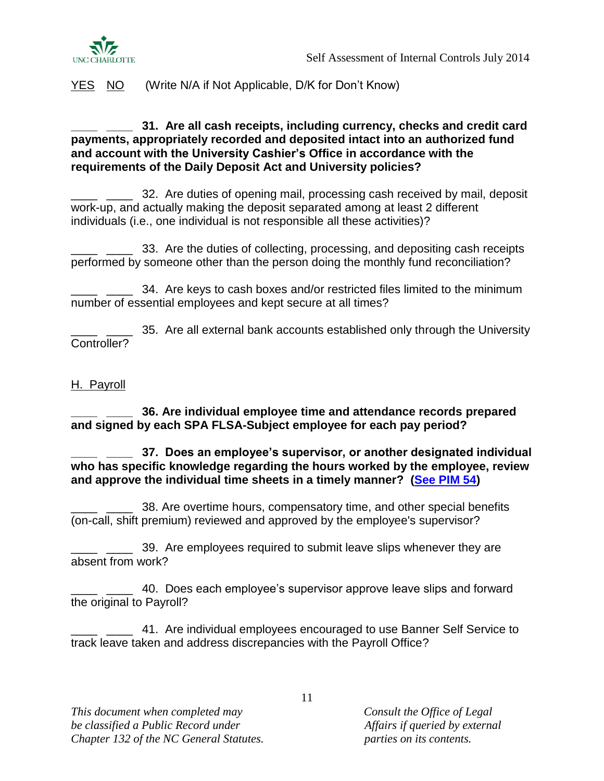

#### **\_\_\_\_ \_\_\_\_ 31. Are all cash receipts, including currency, checks and credit card payments, appropriately recorded and deposited intact into an authorized fund and account with the University Cashier's Office in accordance with the requirements of the Daily Deposit Act and University policies?**

\_\_\_\_ \_\_\_\_ 32. Are duties of opening mail, processing cash received by mail, deposit work-up, and actually making the deposit separated among at least 2 different individuals (i.e., one individual is not responsible all these activities)?

\_\_\_\_ \_\_\_\_ 33. Are the duties of collecting, processing, and depositing cash receipts performed by someone other than the person doing the monthly fund reconciliation?

\_\_\_\_ \_\_\_\_ 34. Are keys to cash boxes and/or restricted files limited to the minimum number of essential employees and kept secure at all times?

35. Are all external bank accounts established only through the University Controller?

#### <span id="page-10-0"></span>H. Payroll

**\_\_\_\_ \_\_\_\_ 36. Are individual employee time and attendance records prepared and signed by each SPA FLSA-Subject employee for each pay period?**

**\_\_\_\_ \_\_\_\_ 37. Does an employee's supervisor, or another designated individual who has specific knowledge regarding the hours worked by the employee, review and approve the individual time sheets in a timely manner? [\(See PIM 54\)](http://hr.uncc.edu/completing-and-retaining-employee-weekly-time-records-flsa-subject-employees)**

38. Are overtime hours, compensatory time, and other special benefits (on-call, shift premium) reviewed and approved by the employee's supervisor?

\_\_\_\_ \_\_\_\_ 39. Are employees required to submit leave slips whenever they are absent from work?

\_\_\_\_ \_\_\_\_ 40. Does each employee's supervisor approve leave slips and forward the original to Payroll?

\_\_\_\_ \_\_\_\_ 41. Are individual employees encouraged to use Banner Self Service to track leave taken and address discrepancies with the Payroll Office?

*This document when completed may Consult the Office of Legal be classified a Public Record under Affairs if queried by external Chapter 132 of the NC General Statutes. parties on its contents.*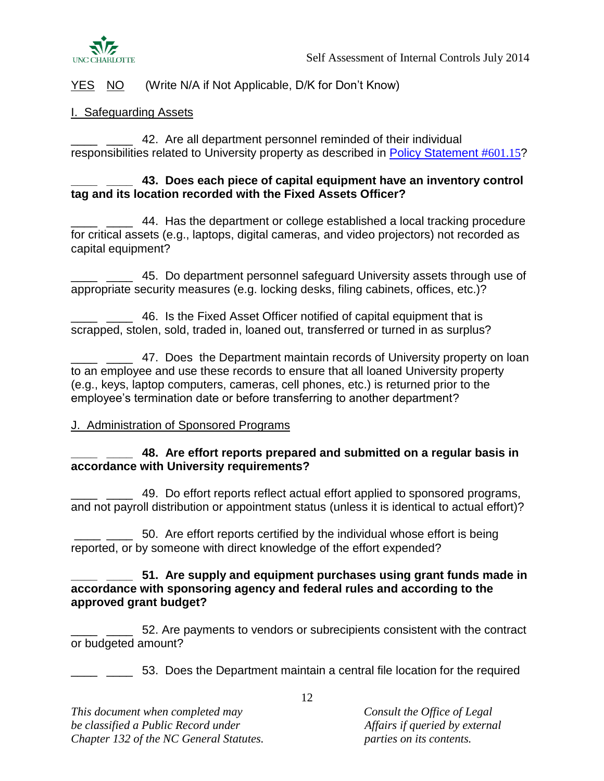

## <span id="page-11-0"></span>I. Safeguarding Assets

42. Are all department personnel reminded of their individual responsibilities related to University property as described in **Policy Statement #601.15?** 

#### **\_\_\_\_ \_\_\_\_ 43. Does each piece of capital equipment have an inventory control tag and its location recorded with the Fixed Assets Officer?**

\_\_\_\_ \_\_\_\_ 44. Has the department or college established a local tracking procedure for critical assets (e.g., laptops, digital cameras, and video projectors) not recorded as capital equipment?

1. 2015 - 45. Do department personnel safeguard University assets through use of appropriate security measures (e.g. locking desks, filing cabinets, offices, etc.)?

46. Is the Fixed Asset Officer notified of capital equipment that is scrapped, stolen, sold, traded in, loaned out, transferred or turned in as surplus?

**2008** 47. Does the Department maintain records of University property on loan to an employee and use these records to ensure that all loaned University property (e.g., keys, laptop computers, cameras, cell phones, etc.) is returned prior to the employee's termination date or before transferring to another department?

## <span id="page-11-1"></span>J. Administration of Sponsored Programs

#### **\_\_\_\_ \_\_\_\_ 48. Are effort reports prepared and submitted on a regular basis in accordance with University requirements?**

49. Do effort reports reflect actual effort applied to sponsored programs, and not payroll distribution or appointment status (unless it is identical to actual effort)?

\_\_\_\_ \_\_\_\_ 50. Are effort reports certified by the individual whose effort is being reported, or by someone with direct knowledge of the effort expended?

#### **\_\_\_\_ \_\_\_\_ 51. Are supply and equipment purchases using grant funds made in accordance with sponsoring agency and federal rules and according to the approved grant budget?**

\_\_\_\_ \_\_\_\_ 52. Are payments to vendors or subrecipients consistent with the contract or budgeted amount?

<sup>1</sup> \_\_\_\_ 53. Does the Department maintain a central file location for the required

*This document when completed may Consult the Office of Legal be classified a Public Record under a if queried by external Chapter 132 of the NC General Statutes. parties on its contents.*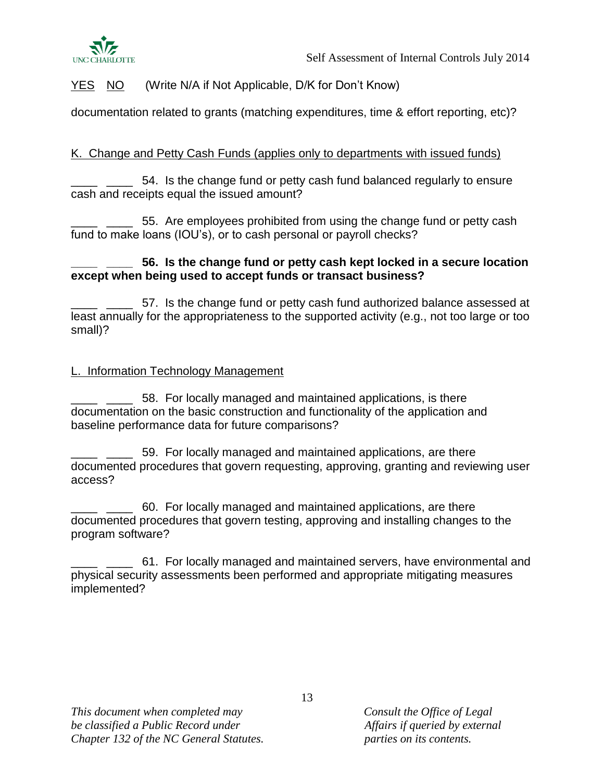

documentation related to grants (matching expenditures, time & effort reporting, etc)?

## <span id="page-12-0"></span>K. Change and Petty Cash Funds (applies only to departments with issued funds)

\_\_\_\_ \_\_\_\_ 54. Is the change fund or petty cash fund balanced regularly to ensure cash and receipts equal the issued amount?

\_\_\_\_ \_\_\_\_ 55. Are employees prohibited from using the change fund or petty cash fund to make loans (IOU's), or to cash personal or payroll checks?

## **\_\_\_\_ \_\_\_\_ 56. Is the change fund or petty cash kept locked in a secure location except when being used to accept funds or transact business?**

57. Is the change fund or petty cash fund authorized balance assessed at least annually for the appropriateness to the supported activity (e.g., not too large or too small)?

## <span id="page-12-1"></span>L. Information Technology Management

58. For locally managed and maintained applications, is there documentation on the basic construction and functionality of the application and baseline performance data for future comparisons?

59. For locally managed and maintained applications, are there documented procedures that govern requesting, approving, granting and reviewing user access?

\_\_\_\_ \_\_\_\_ 60. For locally managed and maintained applications, are there documented procedures that govern testing, approving and installing changes to the program software?

\_\_\_\_ \_\_\_\_ 61. For locally managed and maintained servers, have environmental and physical security assessments been performed and appropriate mitigating measures implemented?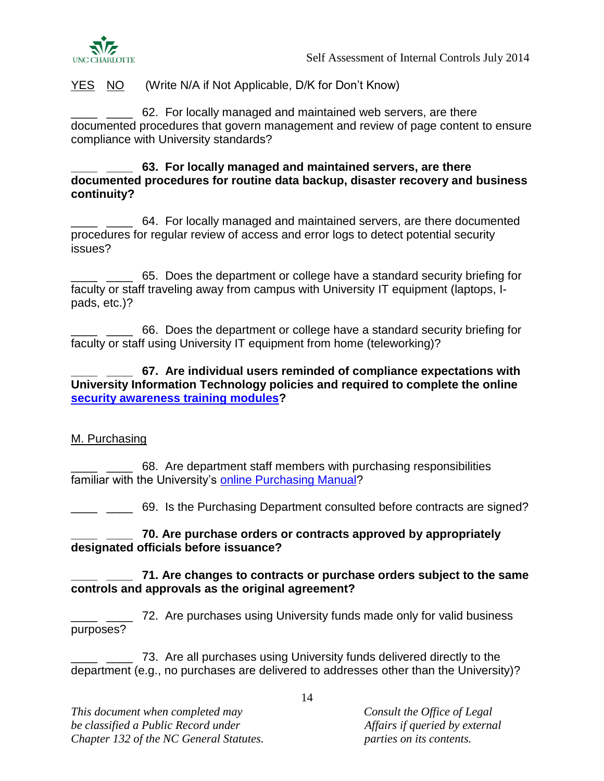

62. For locally managed and maintained web servers, are there documented procedures that govern management and review of page content to ensure compliance with University standards?

**\_\_\_\_ \_\_\_\_ 63. For locally managed and maintained servers, are there documented procedures for routine data backup, disaster recovery and business continuity?**

\_\_\_\_ \_\_\_\_ 64. For locally managed and maintained servers, are there documented procedures for regular review of access and error logs to detect potential security issues?

\_ \_\_\_\_ 65. Does the department or college have a standard security briefing for faculty or staff traveling away from campus with University IT equipment (laptops, Ipads, etc.)?

\_\_\_\_ \_\_\_\_ 66. Does the department or college have a standard security briefing for faculty or staff using University IT equipment from home (teleworking)?

**\_\_\_\_ \_\_\_\_ 67. Are individual users reminded of compliance expectations with University Information Technology policies and required to complete the online [security awareness training modules?](http://itservices.uncc.edu/home/information-security/information-assurance/security-awareness-training)**

#### <span id="page-13-0"></span>M. Purchasing

\_\_\_\_ \_\_\_\_ 68. Are department staff members with purchasing responsibilities familiar with the University's [online Purchasing Manual?](http://finance.uncc.edu/materials-management/purchasing/purchasing-manual)

<sup>1</sup> <sup>1</sup> <sup>2</sup> <sup>2</sup> <sup>2</sup> <sup>69</sup>. Is the Purchasing Department consulted before contracts are signed?

#### **\_\_\_\_ \_\_\_\_ 70. Are purchase orders or contracts approved by appropriately designated officials before issuance?**

#### **\_\_\_\_ \_\_\_\_ 71. Are changes to contracts or purchase orders subject to the same controls and approvals as the original agreement?**

<sup>2</sup> \_\_\_ 72. Are purchases using University funds made only for valid business purposes?

\_\_\_\_ \_\_\_\_ 73. Are all purchases using University funds delivered directly to the department (e.g., no purchases are delivered to addresses other than the University)?

*This document when completed may Consult the Office of Legal be classified a Public Record under a if queried by external Chapter 132 of the NC General Statutes. parties on its contents.*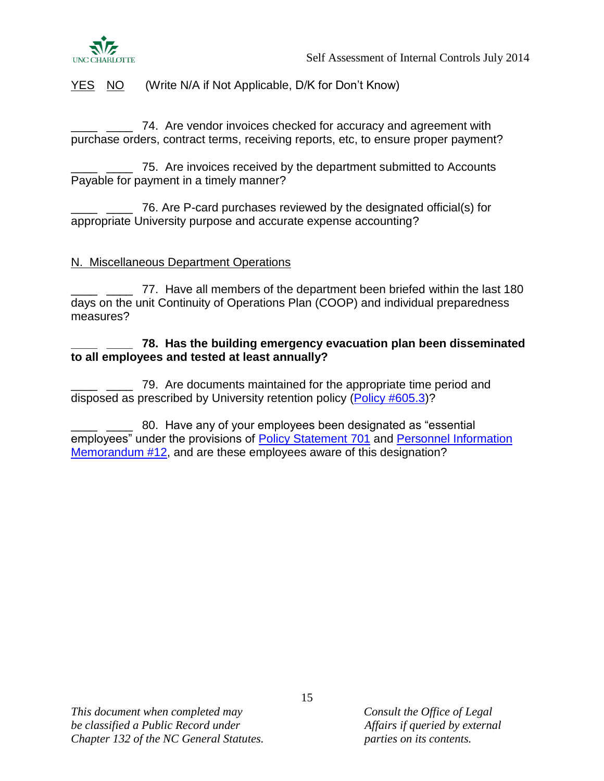

74. Are vendor invoices checked for accuracy and agreement with purchase orders, contract terms, receiving reports, etc, to ensure proper payment?

\_\_\_\_ \_\_\_\_ 75. Are invoices received by the department submitted to Accounts Payable for payment in a timely manner?

\_\_\_\_ \_\_\_\_ 76. Are P-card purchases reviewed by the designated official(s) for appropriate University purpose and accurate expense accounting?

#### <span id="page-14-0"></span>N. Miscellaneous Department Operations

\_\_\_\_ \_\_\_\_ 77. Have all members of the department been briefed within the last 180 days on the unit Continuity of Operations Plan (COOP) and individual preparedness measures?

#### **\_\_\_\_ \_\_\_\_ 78. Has the building emergency evacuation plan been disseminated to all employees and tested at least annually?**

\_\_\_\_ \_\_\_\_ 79. Are documents maintained for the appropriate time period and disposed as prescribed by University retention policy [\(Policy #605.3\)](http://legal.uncc.edu/policies/up-605.3)?

\_\_\_\_ \_\_\_\_ 80. Have any of your employees been designated as "essential employees" under the provisions of [Policy Statement 701](http://legal.uncc.edu/policies/up-701) and [Personnel Information](http://hr.uncc.edu/accounting-time-not-worked-due-hazardous-weather-or-other-unusual-conditions)  [Memorandum #12,](http://hr.uncc.edu/accounting-time-not-worked-due-hazardous-weather-or-other-unusual-conditions) and are these employees aware of this designation?